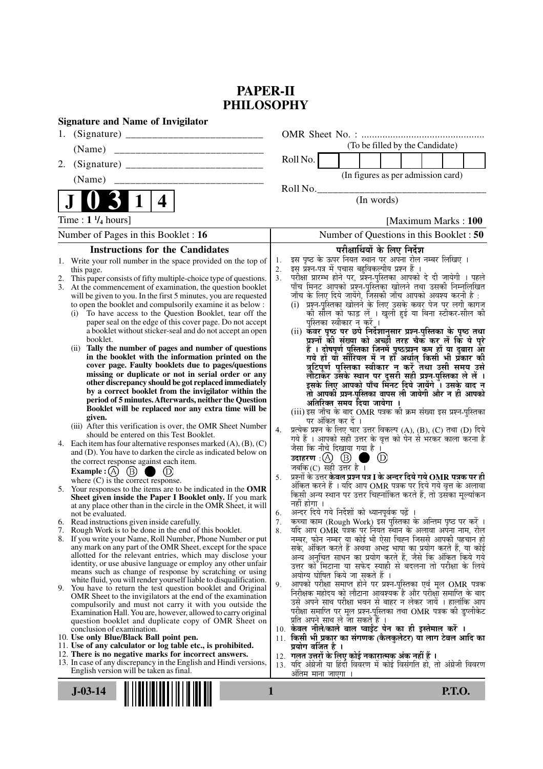# **PAPER-II PHILOSOPHY**

| <b>Signature and Name of Invigilator</b>                                                                                                 |                                                                                                                                     |
|------------------------------------------------------------------------------------------------------------------------------------------|-------------------------------------------------------------------------------------------------------------------------------------|
|                                                                                                                                          |                                                                                                                                     |
| (Name)                                                                                                                                   | (To be filled by the Candidate)                                                                                                     |
| 2.                                                                                                                                       | Roll No.                                                                                                                            |
|                                                                                                                                          | (In figures as per admission card)                                                                                                  |
|                                                                                                                                          | Roll No.                                                                                                                            |
| $\mathbf 1$<br>4                                                                                                                         | (In words)                                                                                                                          |
| Time : $1 \frac{1}{4}$ hours]                                                                                                            | [Maximum Marks: 100]                                                                                                                |
| Number of Pages in this Booklet : 16                                                                                                     | Number of Questions in this Booklet: 50                                                                                             |
| <b>Instructions for the Candidates</b>                                                                                                   | परीक्षार्थियों के लिए निर्देश                                                                                                       |
| Write your roll number in the space provided on the top of<br>1.                                                                         | इस पृष्ठ के ऊपर नियत स्थान पर अपना रोल नम्बर लिखिए ।<br>1.<br>इस प्रश्न-पत्र में पचास बहुविकल्पीय प्रश्न हैं ।                      |
| this page.<br>This paper consists of fifty multiple-choice type of questions.<br>2.                                                      | 2.<br>परीक्षा प्रारम्भ होने पर, प्रॅश्न्-पुस्तिका आपको दे दी जायेगी । पहले<br>3 <sub>1</sub>                                        |
| 3.<br>At the commencement of examination, the question booklet                                                                           | पाँच मिनट आपको प्रश्न-पुस्तिका खोलने तथा उसकी निम्नलिखित                                                                            |
| will be given to you. In the first 5 minutes, you are requested<br>to open the booklet and compulsorily examine it as below :            | जाँच के लिए दिये जायेंगे, जिसकी जाँच आपको अवश्य करनी है :<br>(i) प्रश्न-पुस्तिका खोलने के लिए उसके कवर पेज पर लगी कागज              |
| To have access to the Question Booklet, tear off the<br>(i)                                                                              | की सील को फाड़ लें । खुली हुई या बिना स्टीकर-सील की                                                                                 |
| paper seal on the edge of this cover page. Do not accept<br>a booklet without sticker-seal and do not accept an open                     | पुस्तिका स्वीकार न करें ।                                                                                                           |
| booklet.                                                                                                                                 | (ii) कॅवर पृष्ठ पर छपे निर्देशानुसार प्रश्न-पुस्तिका के पृष्ठ तथा<br>प्रश्नों की संख्या को अच्छों तरह चैक कर लें कि ये पूरे         |
| Tally the number of pages and number of questions<br>(ii)                                                                                | हैं । दोषपूर्ण पुस्तिका जिनमें पृष्ठ/प्रश्न कम हों या दुबारा आ<br>गये हों या सीरियल में न हो अर्थात् किसी भी प्रकार की              |
| in the booklet with the information printed on the<br>cover page. Faulty booklets due to pages/questions                                 | त्रुटिपूर्ण पुस्तिका स्वीकार न करें तथा उसी समय उसे                                                                                 |
| missing or duplicate or not in serial order or any                                                                                       | लौटाकेर उसके स्थान पर दूसरी सही प्रश्न्-पुस्तिका ले लें ।                                                                           |
| other discrepancy should be got replaced immediately<br>by a correct booklet from the invigilator within the                             | इसके लिए आपको पाँच मिनट दिये जायेंगे । उसके बाद न<br>तो आपकी प्रश्न-पुस्तिका वापस ली जायेगी और न ही आपको                            |
| period of 5 minutes. Afterwards, neither the Question                                                                                    | अतिरिक्त समय दिया जायेगा ।                                                                                                          |
| Booklet will be replaced nor any extra time will be<br>given.                                                                            | (iii) इस जाँच के बाद OMR पत्रक की क्रम संख्या इस प्रश्न-पुस्तिका                                                                    |
| (iii) After this verification is over, the OMR Sheet Number                                                                              | पर अंकित कर दें ।<br>प्रत्येक प्रश्न के लिए चार उत्तर विकल्प (A), (B), (C) तथा (D) दिये<br>4.                                       |
| should be entered on this Test Booklet.                                                                                                  | गये हैं । आपको सही उत्तर के वृत्त को पेन से भरकर काला करना है                                                                       |
| 4. Each item has four alternative responses marked $(A)$ , $(B)$ , $(C)$<br>and (D). You have to darken the circle as indicated below on | जैसा कि नीचे दिखाया गया है ।                                                                                                        |
| the correct response against each item.                                                                                                  | उदाहरण $\cdot$ $\circledA$ $\circledB$ ।<br>$\circled{\scriptstyle D}$<br>जबकि $(C)$ सही उत्तर है।                                  |
| Example : $(A)$ $(B)$<br>$\circledcirc$<br>where $(C)$ is the correct response.                                                          | प्रश्नों के उत्तर केवल प्रश्न पत्र I के अन्दर दिये गये $\bf OMR$ पत्रक पर ही<br>5.                                                  |
| 5. Your responses to the items are to be indicated in the OMR                                                                            | अंकित करने हैं । यदि आप OMR पत्रक पर दिये गये वृत्त के अलावा                                                                        |
| Sheet given inside the Paper I Booklet only. If you mark<br>at any place other than in the circle in the OMR Sheet, it will              | किसी अन्य स्थान पर उत्तर चिह्नांकित करते हैं, तो उसका मूल्यांकन<br>नहीं होगा ।                                                      |
| not be evaluated.                                                                                                                        | अन्दर दिये गये निर्देशों को ध्यानपूर्वक पढ़ें<br>6.                                                                                 |
| 6. Read instructions given inside carefully.<br>7. Rough Work is to be done in the end of this booklet.                                  | कच्चा काम (Rough Work) इस पुस्तिका के अन्तिम पृष्ठ पर करें ।<br>7.<br>यदि आप OMR पत्रक पर नियत स्थान के अलावा अपना नाम, रोल<br>8.   |
| 8. If you write your Name, Roll Number, Phone Number or put                                                                              | नम्बर, फोन नम्बर या कोई भी ऐसा चिह्न जिससे आपकी पहचान हो                                                                            |
| any mark on any part of the OMR Sheet, except for the space<br>allotted for the relevant entries, which may disclose your                | सके, अंकित करते हैं अथवा अभद्र भाषा का प्रयोग करते हैं, या कोई<br>अन्य अनुचित साधन का प्रयोग करते हैं, जैसे कि अंकित किये गये       |
| identity, or use abusive language or employ any other unfair                                                                             | उत्तर को मिटाना या सफेद स्याही से बदलना तो परीक्षा के लिये                                                                          |
| means such as change of response by scratching or using<br>white fluid, you will render yourself liable to disqualification.             | अयोग्य घोषित किये जा सकते हैं ।                                                                                                     |
| 9.<br>You have to return the test question booklet and Original                                                                          | आपको परीक्षा समाप्त होने पर प्रश्न-पुस्तिका एवं मूल OMR पत्रक<br>9.<br>निरीक्षक महोदय को लौटाना आवश्यक है और परीक्षा समाप्ति के बाद |
| OMR Sheet to the invigilators at the end of the examination<br>compulsorily and must not carry it with you outside the                   | उसे अपने साथ परीक्षा भवन से बाहर न लेकर जायें । हालांकि आप                                                                          |
| Examination Hall. You are, however, allowed to carry original                                                                            | परीक्षा समाप्ति पर मूल प्रश्न-पुस्तिका तथा OMR पत्रक की डुप्लीकेट<br>प्रति अपने साथ ले जा सकते हैं ।                                |
| question booklet and duplicate copy of OMR Sheet on<br>conclusion of examination.                                                        | 10. केवल नीले/काले बाल प्वाईंट पेन का ही इस्तेमाल करें ।                                                                            |
| 10. Use only Blue/Black Ball point pen.                                                                                                  | 11. किसी भी प्रकार का संगणक (कैलकुलेटर) या लाग टेबल आदि का                                                                          |
| 11. Use of any calculator or log table etc., is prohibited.<br>12. There is no negative marks for incorrect answers.                     | प्रयोग वर्जित है ।<br>12.  गलत उत्तरों के लिए कोई नकारात्मक अंक नहीं हैं ।                                                          |
| 13. In case of any discrepancy in the English and Hindi versions,                                                                        | 13. यदि अंग्रेजी या हिंदी विवरण में कोई विसंगति हो, तो अंग्रेजी विवरण                                                               |
| English version will be taken as final.                                                                                                  | अतिम माना जाएगा ।                                                                                                                   |
| $J-03-14$                                                                                                                                | <b>P.T.O.</b><br>1                                                                                                                  |
|                                                                                                                                          |                                                                                                                                     |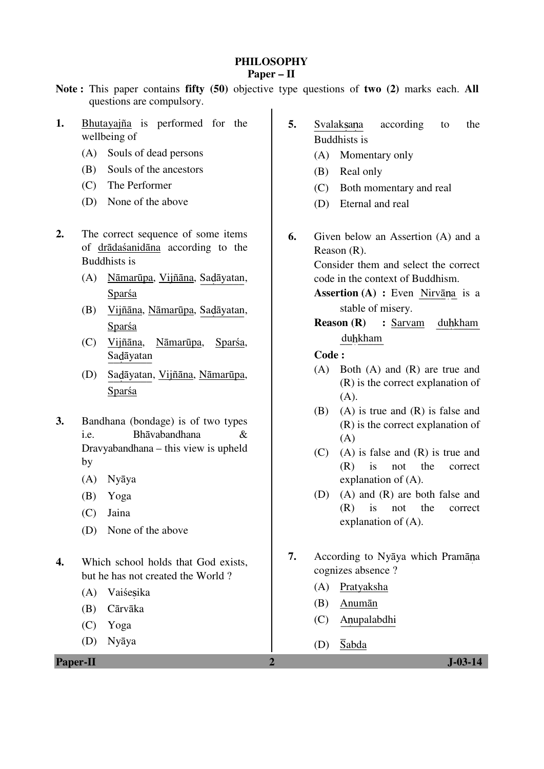#### **PHILOSOPHY Paper – II**

### **Note :** This paper contains **fifty (50)** objective type questions of **two (2)** marks each. **All** questions are compulsory.

- **1.** Bhutayajña is performed for the wellbeing of
	- (A) Souls of dead persons
	- (B) Souls of the ancestors
	- (C) The Performer
	- (D) None of the above
- **2.** The correct sequence of some items of drādaśanidāna according to the Buddhists is
	- (A) Nāmarūpa, Vijñāna, Sa\_\_\_\_\_\_\_\_ <sup>ā</sup>yatan, Sparśa
	- (B) Vijñāna, Nāmarūpa, Sadāyatan, Sparśa
	- (C) Vijñāna, Nāmarūpa, Sparśa, Sadāyatan
	- (D) Sadāyatan, Vijñāna, Nāmarūpa, Sparśa
- **3.** Bandhana (bondage) is of two types i.e. Bhāvabandhana & Dravyabandhana – this view is upheld by
	- (A) Nyāya
	- (B) Yoga
	- (C) Jaina
	- (D) None of the above
- **4.** Which school holds that God exists, but he has not created the World ?
	- (A) Vaiśesika
	- (B) Cārvāka
	- (C) Yoga
	- (D) Nyāya

**Paper-II 2 J-03-14** 

- **5.** Svalaksana according to the Buddhists is
	- (A) Momentary only
	- (B) Real only
	- (C) Both momentary and real
	- (D) Eternal and real
- **6.** Given below an Assertion (A) and a Reason (R).

 Consider them and select the correct code in the context of Buddhism.

- **Assertion (A) :** Even Nirvāna is a stable of misery.
- **Reason (R) :** Sarvam duhkham duhkham

### **Code :**

- (A) Both (A) and (R) are true and (R) is the correct explanation of  $(A)$ .
- (B) (A) is true and (R) is false and (R) is the correct explanation of  $(A)$
- (C) (A) is false and (R) is true and (R) is not the correct explanation of (A).
- (D) (A) and (R) are both false and (R) is not the correct explanation of (A).
- **7.** According to Nyāya which Pramāna cognizes absence ?
	- (A) Pratyaksha
	- (B) Anumān
- (C) Anupalabdhi
- (D)  $\overline{\text{Sabda}}$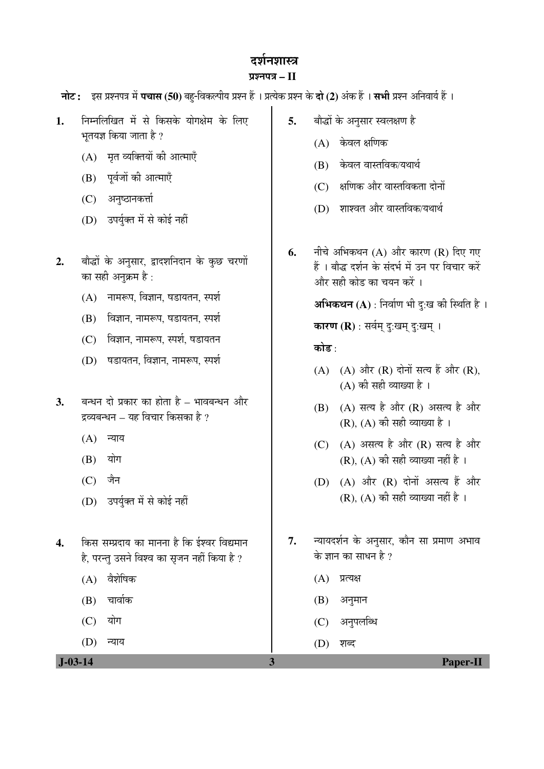# ढर्शनशास्त्र

### ¯ÖÏ¿®Ö¯Ö¡Ö **– II**

**नोट:** इस प्रश्नपत्र में **पचास (50)** बह-विकल्पीय प्रश्न हैं । प्रत्येक प्रश्न के **दो (2)** अंक हैं । सभी प्रश्न अनिवार्य हैं ।

- **1.** ×®Ö´®Ö×»Ö×ÜÖŸÖ ´Öë ÃÖê ×ÛúÃÖÛêú µÖÖêÝÖõÖê´Ö Ûêú ×»Ö‹ भतयज्ञ किया जाता है ?
	- $(A)$  मृत व्यक्तियों की आत्माएँ
	- (B) पूर्वजों की आत्माएँ
	- (C) अनुष्ठानकर्त्ता
	- (D) उपर्युक्त में से कोई नहीं
- 2. बौद्धों के अनुसार, द्वादशनिदान के कुछ चरणों का सही अनुक्रम है :
	- $(A)$  नामरूप, विज्ञान, षडायतन, स्पर्श
	- $(B)$  विज्ञान, नामरूप, षडायतन, स्पर्श
	- $(C)$  विज्ञान, नामरूप, स्पर्श, षडायतन
	- (D) षडायतन, विज्ञान, नामरूप, स्पर्श
- **3.** बन्धन दो प्रकार का होता है भावबन्धन और दव्यबन्धन – यह विचार किसका है ?
	- $(A)$  न्याय
	- $(B)$  योग
	- $(C)$  जैन
	- (D) उपर्युक्त में से कोई नहीं
- 4. किस सम्प्रदाय का मानना है कि ईश्वर विद्यमान है, परन्तु उसने विश्व का सृजन नहीं किया है ?
	- $(A)$  वैशेषिक
	- $(B)$  चार्वाक
	- $(C)$  योग
	- $(D)$  न्याय
- 5. बौद्धों के अनुसार स्वलक्षण है
	- $(A)$  केवल क्षणिक
	- (B) केवल वास्तविक/यथार्थ
	- $(C)$  & धणिक और वास्तविकता दोनों
	- (D) शाश्वत और वास्तविक/यथार्थ
- **6.** नीचे अभिकथन (A) और कारण (R) दिए गए हैं । बौद्ध दर्शन के संदर्भ में उन पर विचार करें और सही कोड का चयन करें ।

**अभिकथन (A)** : निर्वाण भी दु:ख की स्थिति है ।

**कारण (R)** : सर्वम् दु:खम् दु:खम् ।

### कोड $\cdot$

- $(A)$   $(A)$  और  $(R)$  दोनों सत्य हैं और  $(R)$ ,  $(A)$  की सही व्याख्या है।
- $(B)$   $(A)$  सत्य है और  $(R)$  असत्य है और  $(R)$ ,  $(A)$  की सही व्याख्या है।
- (C)  $(A)$  असत्य है और  $(R)$  सत्य है और  $(R)$ ,  $(A)$  की सही व्याख्या नहीं है ।
- $(D)$   $(A)$  और  $(R)$  दोनों असत्य हैं और  $(R)$ ,  $(A)$  की सही व्याख्या नहीं है।
- **7.** ®µÖÖµÖ¤ü¿ÖÔ®Ö Ûêú †®ÖãÃÖÖ¸ü, ÛúÖî®Ö ÃÖÖ ¯ÖÏ´ÖÖÞÖ †³ÖÖ¾Ö के ज्ञान का साधन है ?
	- $(A)$  प्रत्यक्ष
	- $(B)$  अनुमान
	- (C) अनुपलब्धि
	- $(D)$  शब्द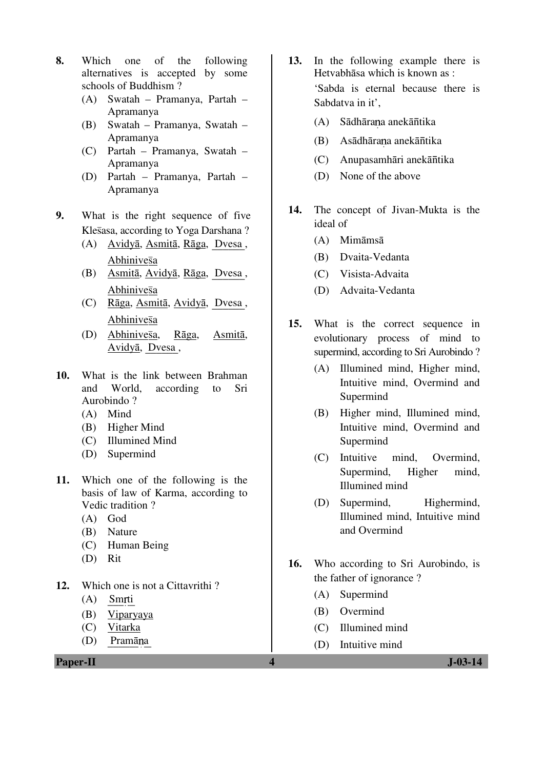- **8.** Which one of the following alternatives is accepted by some schools of Buddhism ?
	- (A) Swatah Pramanya, Partah Apramanya
	- (B) Swatah Pramanya, Swatah Apramanya
	- (C) Partah Pramanya, Swatah Apramanya
	- (D) Partah Pramanya, Partah Apramanya
- **9.** What is the right sequence of five Klesasa, according to Yoga Darshana?
	- (A) Avidyā, Asmitā, Rāga, Dvesa, Abhinivesa
	- (B) Asmitā, Avidyā, Rāga, Dvesa , Abhinivesa
	- (C) Rāga, Asmitā, Avidyā, Dvesa , Abhinivesa
	- $(D)$  Abhinivesa, Rāga, Asmitā, Avidyā, Dvesa,
- **10.** What is the link between Brahman and World, according to Sri Aurobindo ?
	- (A) Mind
	- (B) Higher Mind
	- (C) Illumined Mind
	- (D) Supermind
- **11.** Which one of the following is the basis of law of Karma, according to Vedic tradition ?
	- (A) God
	- (B) Nature
	- (C) Human Being
	- (D) Rit
- **12.** Which one is not a Cittavrithi ?
	- $(A)$  Smrti
	- (B) Viparyaya
	- (C) Vitarka
	- $(D)$  Pramāna

**Paper-II** J-03-14

- **13.** In the following example there is Hetvabhāsa which is known as : 'Sabda is eternal because there is Sabdatva in it',
- (A) Sādhāraņa anekānītika
- (B) Asādhārana anekāntika
- (C) Anupasamhāri anekāntika
	- (D) None of the above
- **14.** The concept of Jivan-Mukta is the ideal of
	- (A) Mimāmsā
	- (B) Dvaita-Vedanta
	- (C) Visista-Advaita
	- (D) Advaita-Vedanta
- **15.** What is the correct sequence in evolutionary process of mind to supermind, according to Sri Aurobindo ?
	- (A) Illumined mind, Higher mind, Intuitive mind, Overmind and Supermind
	- (B) Higher mind, Illumined mind, Intuitive mind, Overmind and Supermind
	- (C) Intuitive mind, Overmind, Supermind, Higher mind, Illumined mind
	- (D) Supermind, Highermind, Illumined mind, Intuitive mind and Overmind
- **16.** Who according to Sri Aurobindo, is the father of ignorance ?
	- (A) Supermind
	- (B) Overmind
	- (C) Illumined mind
	- (D) Intuitive mind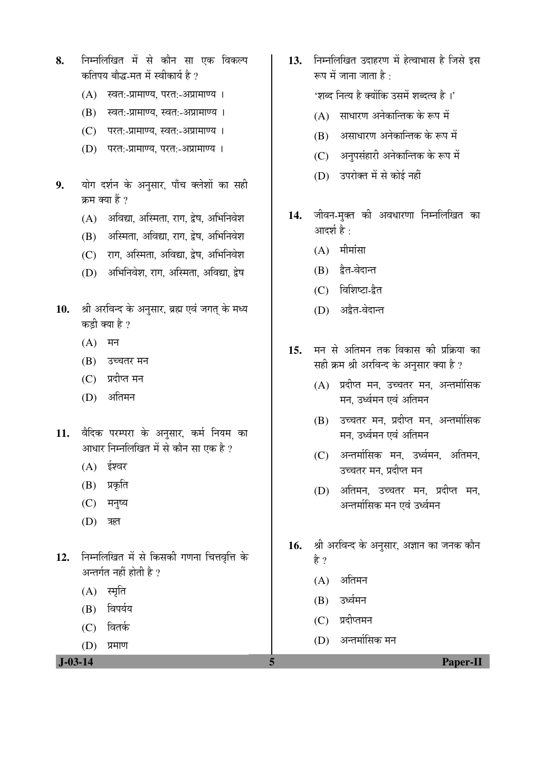- **8.** ×®Ö´®Ö×»Ö×ÜÖŸÖ ´Öë ÃÖê ÛúÖî®Ö ÃÖÖ ‹Ûú ×¾ÖÛú»¯Ö कतिपय बौद्ध-मत में स्वीकार्य है ?
	- $(A)$  स्वत:-प्रामाण्य, परत:-अप्रामाण्य ।
	- (B) स्वत:-प्रामाण्य, स्वत:-अप्रामाण्य ।
	- (C) परत:-प्रामाण्य, स्वत:-अप्रामाण्य ।
	- (D) परत:-प्रामाण्य, परत:-अप्रामाण्य ।
- 9. योग दर्शन के अनुसार, पाँच क्लेशों का सही क्रम क्या हैं ?
	- $(A)$  अविद्या, अस्मिता, राग, द्वेष, अभिनिवेश
	- (B) अस्मिता, अविद्या, राग, द्वेष, अभिनिवेश
	- (C) राग, अस्मिता, अविद्या, द्वेष, अभिनिवेश
	- (D) अभिनिवेश, राग, अस्मिता, अविद्या, द्वेष
- 10. श्री अरविन्द के अनुसार, ब्रह्म एवं जगत् के मध्य कडी क्या है ?
	- $(A)$  मन
	- (B) उच्चतर मन
	- $(C)$  प्रदीप्त मन
	- (D) अतिमन
- 11. वैदिक परम्परा के अनुसार, कर्म नियम का आधार निम्नलिखित में से कौन सा एक है ?
	- $(A)$  ईश्वर
	- (B) प्रकृति
	- $(C)$  मनुष्य
	- $(D)$  ऋत
- 12. निम्नलिखित में से किसकी गणना चित्तवृत्ति के अन्तर्गत नहीं होती है ?
	- $(A)$  स्मृति
	- $(B)$  विपर्यय
	- $(C)$  वितर्क
	- (D) प्रमाण

13. निम्नलिखित उदाहरण में हेत्वाभास है जिसे इस रूप में जाना जाता है $\cdot$ 

'शब्द नित्य है क्योंकि उसमें शब्दत्व है ।'

- $(A)$  साधारण अनेकान्तिक के रूप में
- $(B)$  । असाधारण अनेकान्तिक के रूप में
- (C) अनुपसंहारी अनेकान्तिक के रूप में
- (D) उपरोक्त में से कोई नहीं
- 14. जीवन-मुक्त की अवधारणा निम्नलिखित का आदर्श है $\,$  :
	- $(A)$  मीमांसा
	- $(B)$  द्वैत-वेदान्त
	- (C) विशिष्टा-द्वैत
	- (D) अद्वैत-वेदान्त
- 15. मन से अतिमन तक विकास की प्रक्रिया का सही क्रम श्री अरविन्द के अनुसार क्या है ?
	- $(A)$  प्रदीप्त मन, उच्चतर मन, अन्तर्मासिक मन. उर्ध्वमन एवं अतिमन
	- (B) उच्चतर मन, प्रदीप्त मन, अन्तर्मासिक मन, उर्ध्वमन एवं अतिमन
	- (C) अन्तर्मासिक मन, उर्ध्वमन, अतिमन, उच्चतर मन, प्रदीप्त मन
	- (D) अतिमन, उच्चतर मन, प्रदीप्त मन, अन्तर्मासिक मन एवं उर्ध्वमन
- 16. श्री अरविन्द के अनुसार, अज्ञान का जनक कौन है ?
	- $(A)$  अतिमन
	- $(B)$  उर्ध्वमन
	- $(C)$  प्रदीप्तमन
	- (D) अन्तर्मासिक मन
- **J-03-14 5 Paper-II**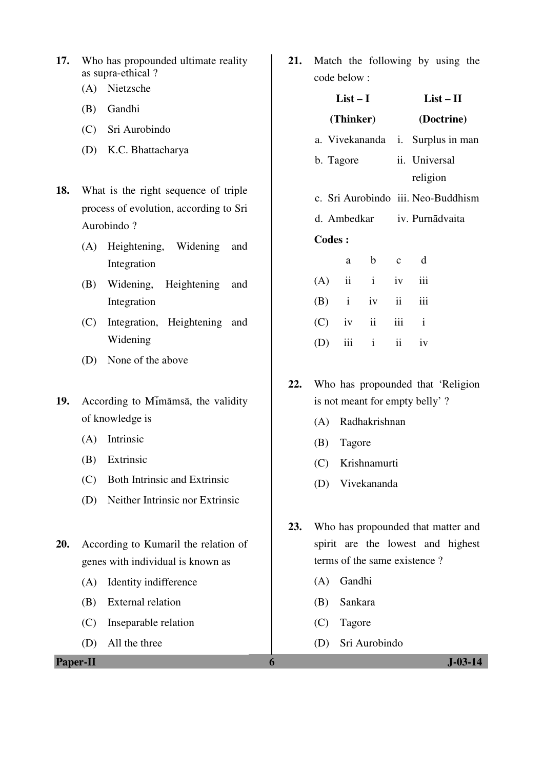- **17.** Who has propounded ultimate reality as supra-ethical ?
	- (A) Nietzsche
	- (B) Gandhi
	- (C) Sri Aurobindo
	- (D) K.C. Bhattacharya
- **18.** What is the right sequence of triple process of evolution, according to Sri Aurobindo ?
	- (A) Heightening, Widening and Integration
	- (B) Widening, Heightening and Integration
	- (C) Integration, Heightening and Widening
	- (D) None of the above
- 19. According to Mimāmsā, the validity of knowledge is
	- (A) Intrinsic
	- (B) Extrinsic
	- (C) Both Intrinsic and Extrinsic
	- (D) Neither Intrinsic nor Extrinsic
- **20.** According to Kumaril the relation of genes with individual is known as
	- (A) Identity indifference
	- (B) External relation
	- (C) Inseparable relation
	- (D) All the three

**Paper-II 6 J-03-14** 

**21.** Match the following by using the code below :

|     |               | $List-I$                |                               | $List - II$ |                                    |
|-----|---------------|-------------------------|-------------------------------|-------------|------------------------------------|
|     |               | (Thinker)               |                               |             | (Doctrine)                         |
|     |               |                         |                               |             | a. Vivekananda i. Surplus in man   |
|     | b. Tagore     |                         |                               |             | ii. Universal                      |
|     |               |                         |                               |             | religion                           |
|     |               |                         |                               |             | c. Sri Aurobindo iii. Neo-Buddhism |
|     |               |                         |                               |             | d. Ambedkar iv. Purnādvaita        |
|     | <b>Codes:</b> |                         |                               |             |                                    |
|     |               | a                       | $\mathbf b$<br>$\overline{c}$ |             | $\mathbf d$                        |
| (A) |               | $\overline{\mathbf{u}}$ | $i$ iv                        |             | iii                                |
|     |               | $(B)$ i iv              |                               | ii          | iii                                |
|     | $(C)$ iv      |                         | ii                            | iii         | $\mathbf{i}$                       |
| (D) |               | iii                     | $i$ $ii$                      |             | iv                                 |
|     |               |                         |                               |             |                                    |

- **22.** Who has propounded that 'Religion is not meant for empty belly' ?
	- (A) Radhakrishnan
	- (B) Tagore
	- (C) Krishnamurti
	- (D) Vivekananda
- **23.** Who has propounded that matter and spirit are the lowest and highest terms of the same existence ?
	- (A) Gandhi
	- (B) Sankara
	- (C) Tagore
	- (D) Sri Aurobindo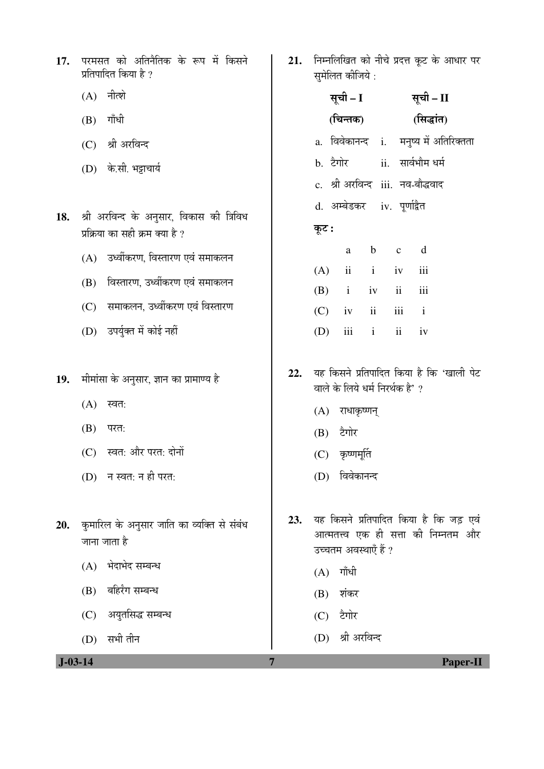|                      | 17. परमसत को अतिनैतिक के रूप में किसने |  |  |
|----------------------|----------------------------------------|--|--|
| प्रतिपादित किया है ? |                                        |  |  |

- $(A)$  नीत्शे
- $(B)$  गाँधी
- (C) श्री अरविन्द
- (D) के.सी. भड़ाचार्य
- 18. श्री अरविन्द के अनुसार, विकास की त्रिविध प्रक्रिया का सही क्रम क्या है ?
	- $(A)$  उर्ध्वीकरण, विस्तारण एवं समाकलन
	- (B) विस्तारण, उर्ध्वीकरण एवं समाकलन
	- (C) समाकलन, उर्ध्वीकरण एवं विस्तारण
	- (D) उपर्युक्त में कोई नहीं
- 19. मीमांसा के अनुसार, ज्ञान का प्रामाण्य है
	- $(A)$  स्वत:
	- $(B)$  परत:
	- (C) स्वत: और परत: दोनों
	- $(D)$  न स्वत: न ही परत:
- 20. कुमारिल के अनुसार जाति का व्यक्ति से संबंध जाना जाता है
	- $(A)$  भेदाभेद सम्बन्ध
	- $(B)$  बहिर्रंग सम्बन्ध
	- (C) अयुतसिद्ध सम्बन्ध
	- $(D)$  सभी तीन

21. निम्नलिखित को नीचे प्रदत्त कूट के आधार पर सुमेलित कीजिये :

| सूची – I |       |  |  |  |                                                                                                                            |                                                                                                                                                        |
|----------|-------|--|--|--|----------------------------------------------------------------------------------------------------------------------------|--------------------------------------------------------------------------------------------------------------------------------------------------------|
|          |       |  |  |  |                                                                                                                            |                                                                                                                                                        |
|          |       |  |  |  |                                                                                                                            |                                                                                                                                                        |
|          |       |  |  |  |                                                                                                                            |                                                                                                                                                        |
|          |       |  |  |  |                                                                                                                            |                                                                                                                                                        |
|          |       |  |  |  |                                                                                                                            |                                                                                                                                                        |
|          |       |  |  |  |                                                                                                                            |                                                                                                                                                        |
|          |       |  |  |  |                                                                                                                            |                                                                                                                                                        |
|          |       |  |  |  |                                                                                                                            |                                                                                                                                                        |
|          |       |  |  |  |                                                                                                                            |                                                                                                                                                        |
|          |       |  |  |  |                                                                                                                            |                                                                                                                                                        |
|          |       |  |  |  |                                                                                                                            |                                                                                                                                                        |
|          | कूट : |  |  |  | d. अम्बेडकर iv. पूर्णाद्वैत<br>a b c d<br>$(A)$ ii i iv iii<br>$(B)$ i iv ii iii<br>$(C)$ iv ii iii i<br>$(D)$ iii i ii iv | सूची – II<br>(चिन्तक) (सिद्धांत)<br>a. विवेकानन्द i. मनुष्य में अतिरिक्तता<br>b. टैगोर         ii.   सार्वभौम धर्म<br>c. श्री अरविन्द iii. नव-बौद्धवाद |

- 22. यह किसने प्रतिपादित किया है कि 'खाली पेट वाले के लिये धर्म निरर्थक है' ?
	- $(A)$  राधाकृष्णन्
	- $(B)$  टैगोर
	- $(C)$  कृष्णमूर्ति
	- (D) विवेकानन्द
- 23. यह किसने प्रतिपादित किया है कि जड़ एवं आत्मतत्त्व एक ही सत्ता की निम्नतम और उच्चतम अवस्थाएँ हैं ?
	- $(A)$  गाँधी
	- $(B)$  शंकर
	- $(C)$  टैगोर
	- (D) श्री अरविन्द

 **J-03-14 7 Paper-II**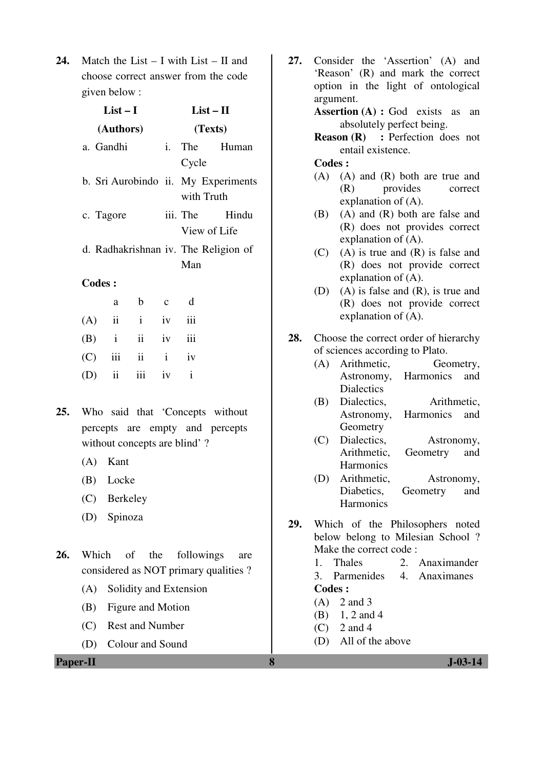**24.** Match the List – I with List – II and choose correct answer from the code given below :

|     | $List-I$      |           |                     |              |                           | $List - II$                          |  |
|-----|---------------|-----------|---------------------|--------------|---------------------------|--------------------------------------|--|
|     |               | (Authors) |                     |              | (Texts)                   |                                      |  |
|     | a. Gandhi     |           |                     | i.           |                           | The Human                            |  |
|     |               |           |                     |              | Cycle                     |                                      |  |
|     |               |           |                     |              |                           | b. Sri Aurobindo ii. My Experiments  |  |
|     |               |           |                     |              |                           | with Truth                           |  |
|     | c. Tagore     |           |                     |              |                           | iii. The<br>Hindu                    |  |
|     |               |           |                     |              |                           | View of Life                         |  |
|     |               |           |                     |              |                           | d. Radhakrishnan iv. The Religion of |  |
|     |               |           |                     |              | Man                       |                                      |  |
|     | <b>Codes:</b> |           |                     |              |                           |                                      |  |
|     |               | a         | b                   | $\mathbf{c}$ | d                         |                                      |  |
| (A) |               |           | $ii$ $i$            | iv           | iii                       |                                      |  |
| (B) | $\mathbf{i}$  |           | $\mathbf{ii}$<br>iv |              | $\overline{\mathbf{iii}}$ |                                      |  |
| (C) |               | iii       | $\ddot{\mathbf{i}}$ | $\mathbf{i}$ | iv                        |                                      |  |
| (D) |               | ii        | iii                 | iv           | $\mathbf{i}$              |                                      |  |

- **25.** Who said that 'Concepts without percepts are empty and percepts without concepts are blind'?
	- (A) Kant
	- (B) Locke
	- (C) Berkeley
	- (D) Spinoza
- **26.** Which of the followings are considered as NOT primary qualities ?
	- (A) Solidity and Extension
	- (B) Figure and Motion
	- (C) Rest and Number
	- (D) Colour and Sound

**Paper-II 8 J-03-14** 

**27.** Consider the 'Assertion' (A) and 'Reason' (R) and mark the correct option in the light of ontological argument. Assertion (A) : God exists as an

absolutely perfect being.

**Reason (R)** : Perfection does not entail existence.

#### **Codes :**

- (A) (A) and (R) both are true and (R) provides correct explanation of (A).
- (B) (A) and (R) both are false and (R) does not provides correct explanation of (A).
- (C) (A) is true and (R) is false and (R) does not provide correct explanation of (A).
- (D) (A) is false and (R), is true and (R) does not provide correct explanation of (A).
- **28.** Choose the correct order of hierarchy of sciences according to Plato.
	- (A) Arithmetic, Geometry, Astronomy, Harmonics and **Dialectics**
	- (B) Dialectics, Arithmetic, Astronomy, Harmonics and Geometry
	- (C) Dialectics, Astronomy, Arithmetic, Geometry and **Harmonics**
	- (D) Arithmetic, Astronomy, Diabetics, Geometry and **Harmonics**
- **29.** Which of the Philosophers noted below belong to Milesian School ? Make the correct code :
	- 1. Thales 2. Anaximander
	- 3. Parmenides 4. Anaximanes **Codes :**
	- $(A)$  2 and 3
	- (B) 1, 2 and 4
	- $(C)$  2 and 4
	- (D) All of the above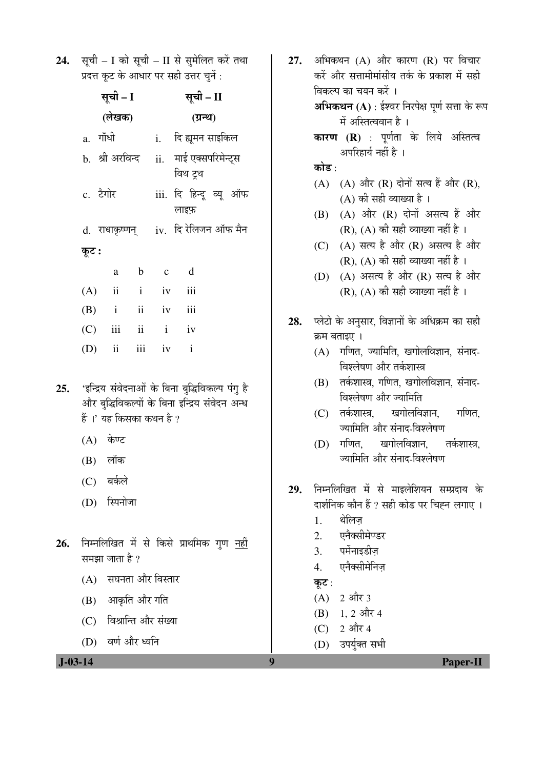24. सूची – I को सूची – II से सुमेलित करें तथा प्रदत्त कट के आधार पर सही उत्तर चनें:

|     |          | सूची – I                                                                               |  |  | सूची - II                                                                                          |  |  |  |
|-----|----------|----------------------------------------------------------------------------------------|--|--|----------------------------------------------------------------------------------------------------|--|--|--|
|     |          | (लेखक)                                                                                 |  |  | (ग्रन्थ)                                                                                           |  |  |  |
|     |          | a. गाँधी                                                                               |  |  | i.     दि ह्यूमन साइकिल                                                                            |  |  |  |
|     |          | b.  श्री अरविन्द                                                                       |  |  | ii. माई एक्सपरिमेन्ट्स<br>विथ ट्रथ                                                                 |  |  |  |
|     | c. टैगोर |                                                                                        |  |  | iii. दि हिन्दू व्यू ऑफ<br>लाइफ़                                                                    |  |  |  |
|     |          |                                                                                        |  |  | d. राधाकृष्णन् iv. दि रेलिजन ऑफ मैन                                                                |  |  |  |
|     | कूट :    |                                                                                        |  |  |                                                                                                    |  |  |  |
|     |          |                                                                                        |  |  | a b c d                                                                                            |  |  |  |
|     |          | $(A)$ ii iv iii                                                                        |  |  |                                                                                                    |  |  |  |
|     |          | $(B)$ i ii iv iii                                                                      |  |  |                                                                                                    |  |  |  |
|     |          | $(C)$ iii ii iv                                                                        |  |  |                                                                                                    |  |  |  |
|     |          | (D) ii iii iv i                                                                        |  |  |                                                                                                    |  |  |  |
| 25. |          | हैं ।' यह किसका कथन है ?<br>(A) केण्ट<br>(B) लॉक<br>(C) बर्कले<br>(D) स्पिनोजा         |  |  | 'इन्द्रिय संवेदनाओं के बिना बुद्धिविकल्प पंगु है<br>और बुद्धिविकल्पों के बिना इन्द्रिय संवेदन अन्ध |  |  |  |
| 26. |          | समझा जाता है ?<br>(A) सघनता और विस्तार<br>(B) आकृति और गति<br>(C) विश्रान्ति और संख्या |  |  | निम्नलिखित में से किसे प्राथमिक गुण <u>नहीं</u>                                                    |  |  |  |

**27.** अभिकथन (A) और कारण (R) पर विचार करें और सत्तामीमांसीय तर्क के प्रकाश में सही विकल्प का चयन करें । **अभिकथन (A)** : ईश्वर निरपेक्ष पूर्ण सत्ता के रूप में अस्तित्ववान है। **कारण (R)** : पूर्णता के लिये अस्तित्व अपरिहार्य नहीं है । कोड़ $\cdot$  $(A)$   $(A)$  और  $(R)$  दोनों सत्य हैं और  $(R)$ ,  $(A)$  की सही व्याख्या है।  $(B)$   $(A)$  और  $(R)$  दोनों असत्य हैं और  $(R)$ ,  $(A)$  की सही व्याख्या नहीं है। (C)  $(A)$  सत्य है और  $(R)$  असत्य है और  $(R)$ ,  $(A)$  की सही व्याख्या नहीं है। (D)  $(A)$  असत्य है और  $(R)$  सत्य है और  $(R)$ ,  $(A)$  की सही व्याख्या नहीं है। 28. प्लेटो के अनुसार, विज्ञानों के अधिक्रम का सही क्रम बताइए ।  $(A)$  गणित, ज्यामिति, खगोलविज्ञान, संनाद-विश्लेषण और तर्कशास्त्र  $(B)$  तर्कशास्त्र, गणित, खगोलविज्ञान, संनाद-विश्लेषण और ज्यामिति (C) तर्कशास्त्र, खगोलविज्ञान, गणित, ज्यामिति और संनाद-विश्लेषण (D) गणित, खगोलविज्ञान, तर्कशास्त्र. ज्यामिति और संनाद-विश्लेषण 29. निम्नलिखित में से माइलेशियन सम्प्रदाय के दार्शनिक कौन हैं ? सही कोड पर चिह्न लगाए । 1. थेलिज़ 2. एनैक्सीमेण्डर 3. पर्मनाइडीज 4. एनैक्सीमेनिज़ कूट $:$  $(A)$  2 और 3  $(B)$  1, 2 और 4 (C)  $2 \text{ and } 4$ 

(D) उपर्युक्त सभी

(D) वर्ण और ध्वनि

 **J-03-14 9 Paper-II**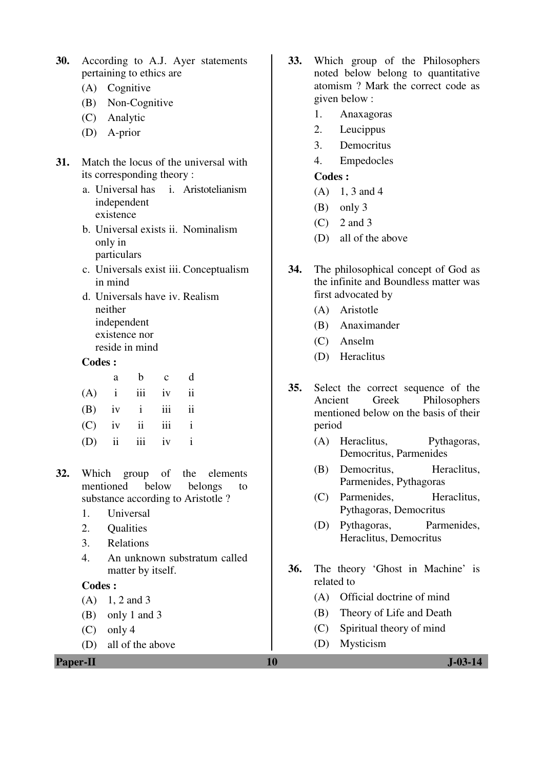- **30.** According to A.J. Ayer statements pertaining to ethics are
	- (A) Cognitive
	- (B) Non-Cognitive
	- (C) Analytic
	- (D) A-prior
- **31.** Match the locus of the universal with its corresponding theory :
	- a. Universal has independent existence i. Aristotelianism
	- b. Universal exists ii. Nominalism only in particulars
	- c. Universals exist iii. Conceptualism in mind
	- d. Universals have iv. Realism neither independent existence nor reside in mind

#### **Codes :**

| a | $b \quad c$       | d |
|---|-------------------|---|
|   | $(A)$ i iii iv ii |   |
|   | $(B)$ iv i iii ii |   |
|   | $(C)$ iv ii iii i |   |
|   | $(D)$ ii iii iv i |   |

- **32.** Which group of the elements mentioned below belongs to substance according to Aristotle ?
	- 1. Universal
	- 2. Qualities
	- 3. Relations
	- 4. An unknown substratum called matter by itself.

#### **Codes :**

- $(A)$  1, 2 and 3
- (B) only 1 and 3
- $(C)$  only 4
- (D) all of the above

**Paper-II** J-03-14

- **33.** Which group of the Philosophers noted below belong to quantitative atomism ? Mark the correct code as given below :
	- 1. Anaxagoras
	- 2. Leucippus
	- 3. Democritus
	- 4. Empedocles

### **Codes :**

- $(A)$  1, 3 and 4
- (B) only 3
- $(C)$  2 and 3
- (D) all of the above
- **34.** The philosophical concept of God as the infinite and Boundless matter was first advocated by
	- (A) Aristotle
	- (B) Anaximander
	- (C) Anselm
	- (D) Heraclitus
- **35.** Select the correct sequence of the Ancient Greek Philosophers mentioned below on the basis of their period
	- (A) Heraclitus, Pythagoras, Democritus, Parmenides
	- (B) Democritus, Heraclitus, Parmenides, Pythagoras
	- (C) Parmenides, Heraclitus, Pythagoras, Democritus
	- (D) Pythagoras, Parmenides, Heraclitus, Democritus
- **36.** The theory 'Ghost in Machine' is related to
	- (A) Official doctrine of mind
	- (B) Theory of Life and Death
	- (C) Spiritual theory of mind
	- (D) Mysticism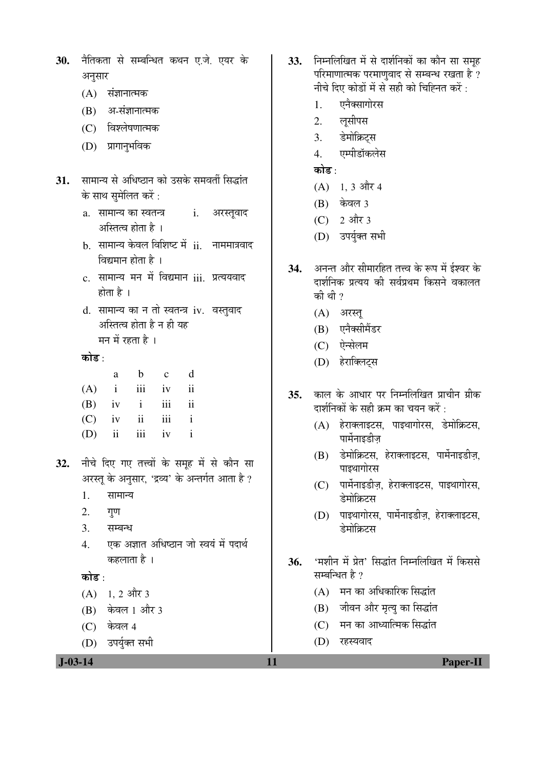```
30. नैतिकता से सम्बन्धित कथन ए.जे. एयर के
अनसार
```
- $(A)$  संज्ञानात्मक
- $(B)$  अ-संज्ञानात्मक
- (C) विश्लेषणात्मक
- (D) प्रागानुभविक
- 31. सामान्य से अधिष्ठान को उसके समवर्ती सिद्धांत के साथ समेलित करें :
	- a. सामान्य का स्वतन्त्र अस्तित्व होता है $\perp$ i. अरस्तूवाद
	- b. सामान्य केवल विशिष्ट में ii. नाममात्रवाद विद्यमान होता है ।
	- c. सामान्य मन में विद्यमान iii. प्रत्ययवाद होता है $\perp$
	- d. सामान्य का न तो स्वतन्त्र iv. वस्तुवाद अस्तित्व होता है न ही यह मन में रहता है $\perp$

कोड :

| a | $b \quad c$       | d |
|---|-------------------|---|
|   | $(A)$ i iii iv ii |   |
|   | $(B)$ iv i iii ii |   |
|   | $(C)$ iv ii iii i |   |
|   | $(D)$ ii iii iv i |   |

- 32. नीचे दिए गए तत्त्वों के समूह में से कौन सा अरस्तु के अनुसार, 'द्रव्य' के अन्तर्गत आता है ?
	- 1. सामान्य
	- $2.$  गुण
	- 3. सम्बन्ध
	- 4. एक अज्ञात अधिष्ठान जो स्वयं में पदार्थ कहलाता है ।

#### कोड $\cdot$

- $(A)$  1, 2 और 3
- (B) केवल 1 और 3
- (C) केवल 4
- (D) उपर्युक्त सभी

```
33. FEHRT ER ATHET AT AUSSES THE THE
परिमाणात्मक परमाणुवाद से सम्बन्ध रखता है ?
 नीचे दिए कोडों में से सही को चिह्नित करें :
```
- 1. एनैक्सागोरस
- 2. लुसीपस
- 3. डेमोक्रिटस
- 4. एम्पीडॉकलेस
- कोड<sup>़</sup>
- $(A)$  1, 3 और 4
- $(B)$  केवल 3
- $(C)$  2 और 3
- (D) उपर्युक्त सभी
- 34. अनन्त और सीमारहित तत्त्व के रूप में ईश्वर के दार्शनिक प्रत्यय की सर्वप्रथम किसने वकालत की थी $\eta$ 
	- $(A)$  अरस्तू
	- (B) एनैक्सीमैंडर
	- $(C)$  एेन्सेलम
	- (D) हेराक्लिट्स
- 35. काल के आधार पर निम्नलिखित प्राचीन ग्रीक दार्शनिकों के सही क्रम का चयन करें :
	- $(A)$  हेराक्लाइटस, पाइथागोरस, डेमोक्रिटस, पार्मेनाइडीज
	- (B) डेमोक्रिटस, हेराक्लाइटस, पार्मेनाइडीज़, पाडथागोरस
	- (C) पार्मेनाइडीज़, हेराक्लाइटस, पाइथागोरस, डेमोक्रिटस
	- (D) पाइथागोरस, पार्मेनाइडीज़, हेराक्लाइटस, .<br>डेमोकिटम
- 36. 'मशीन में प्रेत' सिद्धांत निम्नलिखित में किससे सम्बन्धित है $\overline{v}$ 
	- $(A)$  गन का अधिकारिक सिद्धांत
	- (B) जीवन और मृत्यु का सिद्धांत
	- (C) गन का आध्यात्मिक सिद्धांत
	- (D) रहस्यवाद

 **J-03-14 11 Paper-II**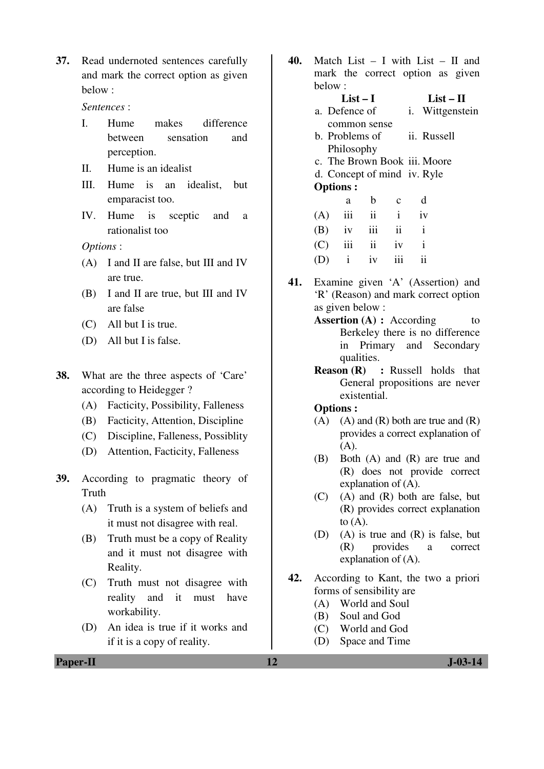**37.** Read undernoted sentences carefully and mark the correct option as given below :

*Sentences* :

- I. Hume makes difference between sensation and perception.
- II. Hume is an idealist
- III. Hume is an idealist, but emparacist too.
- IV. Hume is sceptic and a rationalist too

*Options* :

- (A) I and II are false, but III and IV are true.
- (B) I and II are true, but III and IV are false
- (C) All but I is true.
- (D) All but I is false.
- **38.** What are the three aspects of 'Care' according to Heidegger ?
	- (A) Facticity, Possibility, Falleness
	- (B) Facticity, Attention, Discipline
	- (C) Discipline, Falleness, Possiblity
	- (D) Attention, Facticity, Falleness
- **39.** According to pragmatic theory of **Truth** 
	- (A) Truth is a system of beliefs and it must not disagree with real.
	- (B) Truth must be a copy of Reality and it must not disagree with Reality.
	- (C) Truth must not disagree with reality and it must have workability.
	- (D) An idea is true if it works and if it is a copy of reality.

**40.** Match List – I with List – II and mark the correct option as given below :

#### **List – I List – II** a. Defence of common sense i. Wittgenstein b. Problems of ii. Russell

- Philosophy
- c. The Brown Book iii. Moore
- d. Concept of mind iv. Ryle

#### **Options :**

| a | b c d             |  |
|---|-------------------|--|
|   | $(A)$ iii ii i iv |  |
|   | $(B)$ iv iii ii i |  |
|   | $(C)$ iii ii iv i |  |
|   | $(D)$ i iv iii ii |  |

- **41.** Examine given 'A' (Assertion) and 'R' (Reason) and mark correct option as given below :
	- **Assertion (A) :** According to Berkeley there is no difference in Primary and Secondary qualities.
	- **Reason (R) :** Russell holds that General propositions are never existential.

#### **Options :**

- $(A)$   $(A)$  and  $(R)$  both are true and  $(R)$ provides a correct explanation of  $(A)$ .
- (B) Both (A) and (R) are true and (R) does not provide correct explanation of (A).
- (C) (A) and (R) both are false, but (R) provides correct explanation to  $(A)$ .
- (D) (A) is true and (R) is false, but (R) provides a correct explanation of (A).
- **42.** According to Kant, the two a priori forms of sensibility are
	- (A) World and Soul
	- (B) Soul and God
	- (C) World and God
	- (D) Space and Time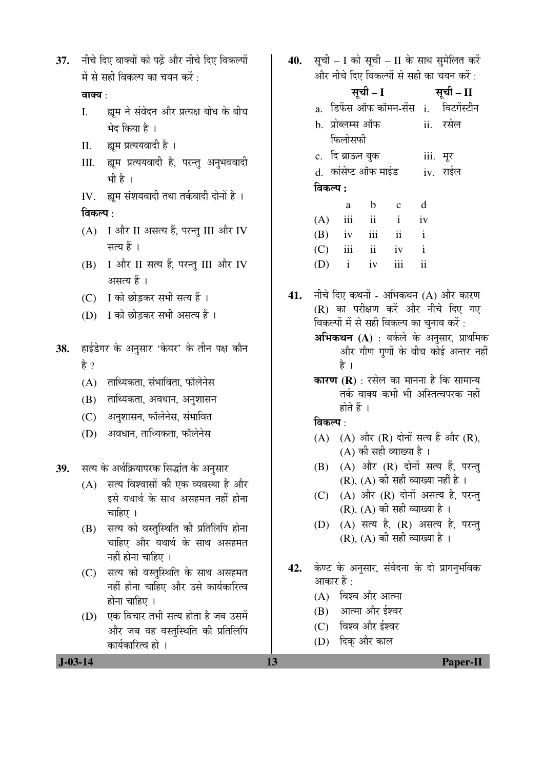37. and fau ana polis and en ander the part of  $\overrightarrow{H}$  से सही विकल्प का चयन करें $\overrightarrow{G}$ 

## वाक्य $\cdot$

- I. ह्यम ने संवेदन और प्रत्यक्ष बोध के बीच भेद किया है ।
- II. ह्यम प्रत्ययवादी है।
- III. ह्यूम प्रत्ययवादी है, परन्तु अनुभववादी भी है ।
- IV. ह्यूम संशयवादी तथा तर्कवादी दोनों हैं ।

#### विकल्प $\, \cdot \,$

- (A) I और II असत्य हैं, परन्तु III और IV सत्य हैं ।
- $(B)$  I और II सत्य हैं, परन्तु III और IV असत्य हैं ।
- (C) I को छोडकर सभी सत्य हैं ।
- (D) I को छोडकर सभी असत्य हैं ।

## 38. हाईडेगर के अनुसार 'केयर' के तीन पक्ष कौन है ?

- $(A)$  ताथ्यिकता, संभाविता, फॉलेनेस
- (B) ताथ्यिकता, अवधान, अनुशासन
- (C) । अनुशासन, फॉलेनेस, संभावित
- (D) अवधान, ताथ्यिकता, फॉलेनेस

39. सत्य के अर्थक्रियापरक सिद्धांत के अनुसार

- $(A)$  सत्य विश्वासों की एक व्यवस्था है और इसे यथार्थ के साथ असहमत नहीं होना चाहिए ।
- (B) सत्य को वस्तुस्थिति की प्रतिलिपि होना चाहिए और यथार्थ के साथ असहमत  $\overline{B}$  and  $\overline{B}$  and  $\overline{B}$
- (C) सत्य को वस्तुस्थिति के साथ असहमत नहीं होना चाहिए और उसे कार्यकारित्व होना चाहिए ।
- (D) एक विचार तभी सत्य होता है जब उसमें ओर जब वह वस्तुस्थिति की प्रतिलिपि कार्यकारित्व हो ।

40. सूची – I को सूची – II के साथ सुमेलित करें और नीचे दिए विकल्पों से सही का चयन करें $\cdot$ 

|          |                   | सूची – I        |                               | सूची – II    |                                        |
|----------|-------------------|-----------------|-------------------------------|--------------|----------------------------------------|
|          |                   |                 |                               |              | a. डिफेंस ऑफ कॉमन-सेंस i.  विटगेंस्टीन |
|          | b. प्रोब्लम्स ऑफ  |                 |                               |              | ii. रसेल                               |
|          | फिलोसफी           |                 |                               |              |                                        |
|          | c.  दि ब्राऊन बुक |                 |                               |              | iii. मूर                               |
|          |                   |                 | d. कांसेप्ट ऑफ माइंड iv. राईल |              |                                        |
| विकल्प : |                   |                 |                               |              |                                        |
|          | a                 |                 | b c d                         |              |                                        |
|          |                   | $(A)$ iii ii i  |                               | iv           |                                        |
|          |                   | $(B)$ iv iii ii |                               | $\mathbf{i}$ |                                        |
|          |                   | $(C)$ iii ii iv |                               | $\mathbf{i}$ |                                        |
|          |                   | $(D)$ i iv iii  |                               | ii           |                                        |

- **41.** नीचे दिए कथनों अभिकथन (A) और कारण (R) का परीक्षण करें और नीचे दिए गए विकल्पों में से सही विकल्प का चुनाव करें : **अभिकथन (A)** : बर्कले के अनुसार, प्राथमिक और गौण गणों के बीच कोई अन्तर नहीं है ।
	- **कारण (R)** : रसेल का मानना है कि सामान्य तर्क वाक्य कभी भी अस्तित्वपरक नहीं होते हैं $\perp$

विकल्प $\cdot$ 

- $(A)$   $(A)$  और  $(R)$  दोनों सत्य हैं और  $(R)$ ,  $(A)$  की सही व्याख्या है।
- $(B)$   $(A)$  और  $(R)$  दोनों सत्य हैं, परन्तु  $(R)$ ,  $(A)$  की सही व्याख्या नहीं है ।
- $(C)$   $(A)$  और  $(R)$  दोनों असत्य है, परन्तु  $(R)$ ,  $(A)$  की सही व्याख्या है।
- $(D)$   $(A)$  सत्य है,  $(R)$  असत्य है, परन्त  $(R)$ ,  $(A)$  की सही व्याख्या है ।
- 42. केण्ट के अनुसार, संवेदना के दो प्रागनुभविक आकार हैं :
	- $(A)$  विश्व और आत्मा
	- (B) आत्मा और ईश्वर
	- (C) विश्व और ईश्वर
	- (D) दिक् और काल

 **J-03-14 13 Paper-II**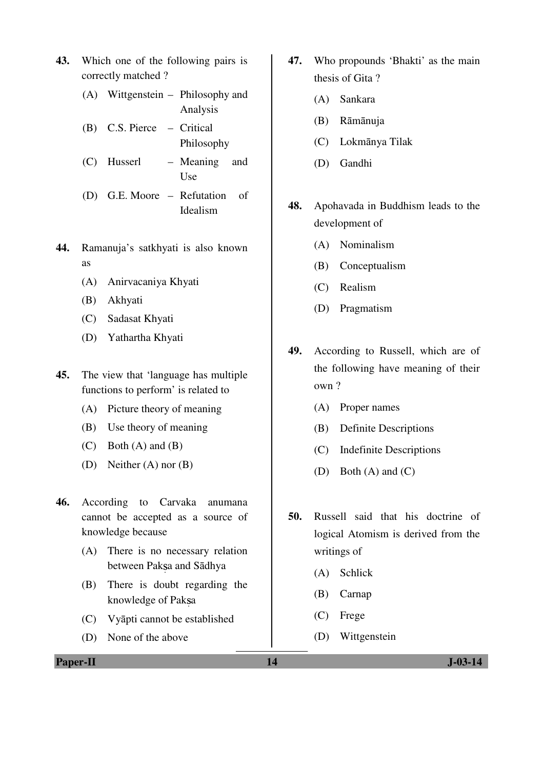- **43.** Which one of the following pairs is correctly matched ?
	- (A) Wittgenstein Philosophy and Analysis
	- (B) C.S. Pierce Critical Philosophy
	- (C) Husserl Meaning and **Use**
	- (D) G.E. Moore Refutation of Idealism
- **44.** Ramanuja's satkhyati is also known as
	- (A) Anirvacaniya Khyati
	- (B) Akhyati
	- (C) Sadasat Khyati
	- (D) Yathartha Khyati
- **45.** The view that 'language has multiple functions to perform' is related to
	- (A) Picture theory of meaning
	- (B) Use theory of meaning
	- $(C)$  Both  $(A)$  and  $(B)$
	- (D) Neither (A) nor (B)
- **46.** According to Carvaka anumana cannot be accepted as a source of knowledge because
	- (A) There is no necessary relation between Paksa and Sādhya
	- (B) There is doubt regarding the knowledge of Paksa
	- (C) Vyāpti cannot be established
	- (D) None of the above
- **47.** Who propounds 'Bhakti' as the main thesis of Gita ?
	- (A) Sankara
	- (B) Rāmānuja
	- (C) Lokmānya Tilak
	- (D) Gandhi
- **48.** Apohavada in Buddhism leads to the development of
	- (A) Nominalism
	- (B) Conceptualism
	- (C) Realism
	- (D) Pragmatism
- **49.** According to Russell, which are of the following have meaning of their own ?
	- (A) Proper names
	- (B) Definite Descriptions
	- (C) Indefinite Descriptions
	- (D) Both (A) and (C)
- **50.** Russell said that his doctrine of logical Atomism is derived from the writings of
	- (A) Schlick
	- (B) Carnap
	- (C) Frege
	- (D) Wittgenstein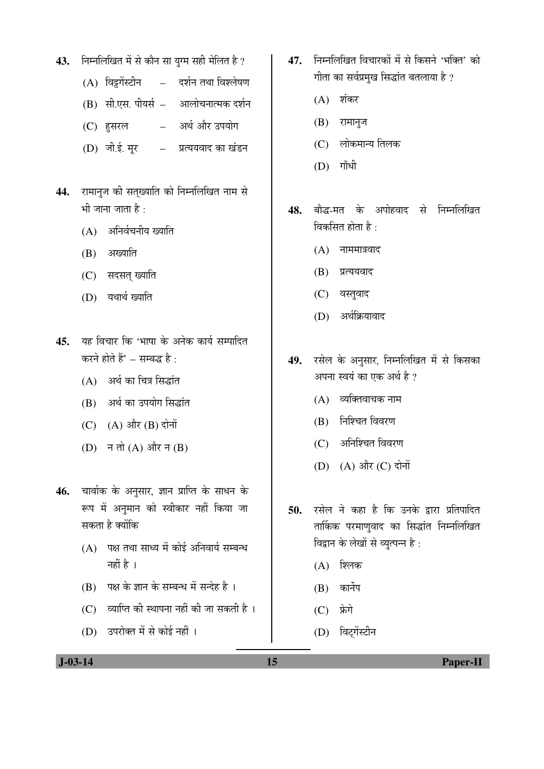- 43. Fiमलिखित में से कौन सा युग्म सही मेलित है ?
	- $(A)$  विट्टगेंस्टीन दर्शन तथा विश्लेषण
	- (B) सी.एस. पीयर्स आलोचनात्मक दर्शन
	- (C) हसरल अर्थ और उपयोग
	- (D) जी.ई. मूर प्रत्ययवाद का खंडन
- 44. रामानुज की सत्ख्याति को निम्नलिखित नाम से भी जाना जाता है $\, \cdot \,$ 
	- $(A)$  अनिर्वचनीय ख्याति
	- $(B)$  अख्याति
	- (C) सदसत् ख्याति
	- (D) यथार्थ ख्याति
- 45. यह विचार कि 'भाषा के अनेक कार्य सम्पादित करने होते हैं $^{\ast}$  – सम्बद्ध है $^{\ast}$ 
	- $(A)$  अर्थ का चित्र सिद्धांत
	- (B) अर्थ का उपयोग सिद्धांत
	- (C) (A) और (B) दोनों
	- $(D)$  न तो  $(A)$  और न  $(B)$
- 46. चार्वाक के अनुसार, ज्ञान प्राप्ति के साधन के रूप में अनुमान को स्वीकार नहीं किया जा सकता है क्योंकि
	- $(A)$  पक्ष तथा साध्य में कोई अनिवार्य सम्बन्ध नहीं है $\perp$
	- (B) पक्ष के ज्ञान के सम्बन्ध में सन्देह है ।
	- $(C)$  व्याप्ति की स्थापना नहीं की जा सकती है ।
	- (D) उपरोक्त में से कोई नहीं ।
- 47. निम्नलिखित विचारकों में से किसने 'भक्ति' को गीता का सर्वप्रमुख सिद्धांत बतलाया है ?
	- $(A)$  शंकर
	- $(B)$  रामानुज
	- $(C)$  लोकमान्य तिलक
	- $(D)$  गाँधी
- 48. बौद्ध-मत के अपोहवाद से निम्नलिखित विकसित होता है:
	- $(A)$  नाममात्रवाद
	- $(B)$  प्रत्ययवाद
	- (C) वस्तुवाद
	- $(D)$  अर्थक्रियावाद
- 49. रसेल के अनुसार, निम्नलिखित में से किसका अपना स्वयं का एक अर्थ है ?
	- $(A)$  व्यक्तिवाचक नाम
	- $(B)$  निश्चित विवरण
	- $(C)$  अनिश्चित विवरण
	- (D) (A) और (C) दोनों
- 50. रसेल ने कहा है कि उनके द्रारा प्रतिपादित तार्किक परमाणुवाद का सिद्धांत निम्नलिखित <u>विद्वान के लेखों से व्युत्पन्न है</u>:
	- $(A)$  शिलक
	- $(B)$  कार्नेप
	- $(C)$  फ्रेगे
	- (D) विट्गेंस्टीन

 **J-03-14 15 Paper-II**